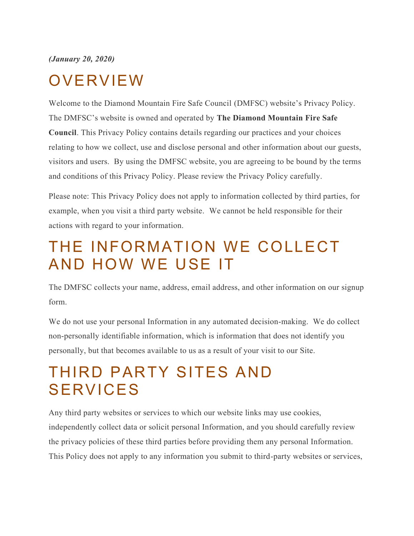*(January 20, 2020)*

#### **OVERVIEW**

Welcome to the Diamond Mountain Fire Safe Council (DMFSC) website's Privacy Policy. The DMFSC's website is owned and operated by **The Diamond Mountain Fire Safe Council**. This Privacy Policy contains details regarding our practices and your choices relating to how we collect, use and disclose personal and other information about our guests, visitors and users. By using the DMFSC website, you are agreeing to be bound by the terms and conditions of this Privacy Policy. Please review the Privacy Policy carefully.

Please note: This Privacy Policy does not apply to information collected by third parties, for example, when you visit a third party website. We cannot be held responsible for their actions with regard to your information.

#### THE INFORMATION WE COLLECT AND HOW WE USE IT

The DMFSC collects your name, address, email address, and other information on our signup form.

We do not use your personal Information in any automated decision-making. We do collect non-personally identifiable information, which is information that does not identify you personally, but that becomes available to us as a result of your visit to our Site.

## THIRD PARTY SITES AND **SERVICES**

Any third party websites or services to which our website links may use cookies, independently collect data or solicit personal Information, and you should carefully review the privacy policies of these third parties before providing them any personal Information. This Policy does not apply to any information you submit to third-party websites or services,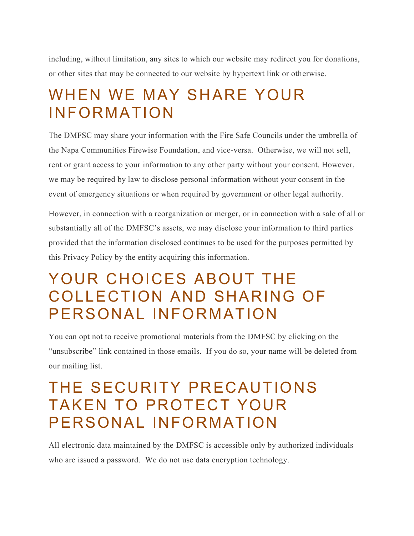including, without limitation, any sites to which our website may redirect you for donations, or other sites that may be connected to our website by hypertext link or otherwise.

#### WHEN WE MAY SHARE YOUR INFORMATION

The DMFSC may share your information with the Fire Safe Councils under the umbrella of the Napa Communities Firewise Foundation, and vice-versa. Otherwise, we will not sell, rent or grant access to your information to any other party without your consent. However, we may be required by law to disclose personal information without your consent in the event of emergency situations or when required by government or other legal authority.

However, in connection with a reorganization or merger, or in connection with a sale of all or substantially all of the DMFSC's assets, we may disclose your information to third parties provided that the information disclosed continues to be used for the purposes permitted by this Privacy Policy by the entity acquiring this information.

## YOUR CHOICES ABOUT THE COLLECTION AND SHARING OF PERSONAL INFORMATION

You can opt not to receive promotional materials from the DMFSC by clicking on the "unsubscribe" link contained in those emails. If you do so, your name will be deleted from our mailing list.

#### THE SECURITY PRECAUTIONS TAKEN TO PROTECT YOUR PERSONAL INFORMATION

All electronic data maintained by the DMFSC is accessible only by authorized individuals who are issued a password. We do not use data encryption technology.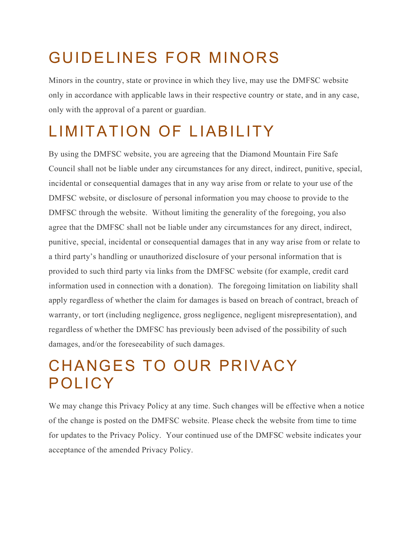## GUIDELINES FOR MINORS

Minors in the country, state or province in which they live, may use the DMFSC website only in accordance with applicable laws in their respective country or state, and in any case, only with the approval of a parent or guardian.

# LIMITATION OF LIABILITY

By using the DMFSC website, you are agreeing that the Diamond Mountain Fire Safe Council shall not be liable under any circumstances for any direct, indirect, punitive, special, incidental or consequential damages that in any way arise from or relate to your use of the DMFSC website, or disclosure of personal information you may choose to provide to the DMFSC through the website. Without limiting the generality of the foregoing, you also agree that the DMFSC shall not be liable under any circumstances for any direct, indirect, punitive, special, incidental or consequential damages that in any way arise from or relate to a third party's handling or unauthorized disclosure of your personal information that is provided to such third party via links from the DMFSC website (for example, credit card information used in connection with a donation). The foregoing limitation on liability shall apply regardless of whether the claim for damages is based on breach of contract, breach of warranty, or tort (including negligence, gross negligence, negligent misrepresentation), and regardless of whether the DMFSC has previously been advised of the possibility of such damages, and/or the foreseeability of such damages.

## CHANGES TO OUR PRIVACY POLICY

We may change this Privacy Policy at any time. Such changes will be effective when a notice of the change is posted on the DMFSC website. Please check the website from time to time for updates to the Privacy Policy. Your continued use of the DMFSC website indicates your acceptance of the amended Privacy Policy.